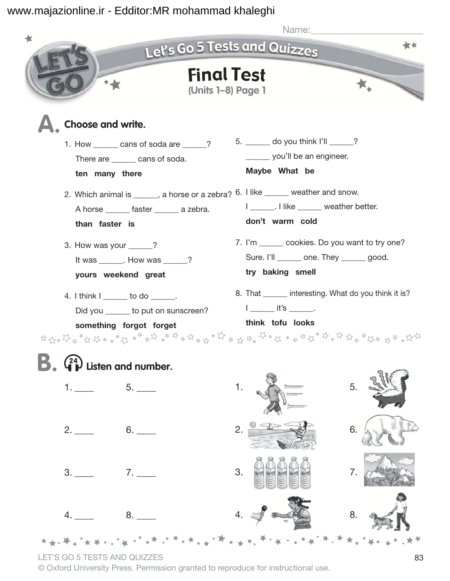

LET'S GO 5 TESTS AND QUIZZES 83

© Oxford University Press. Permission granted to reproduce for instructional use.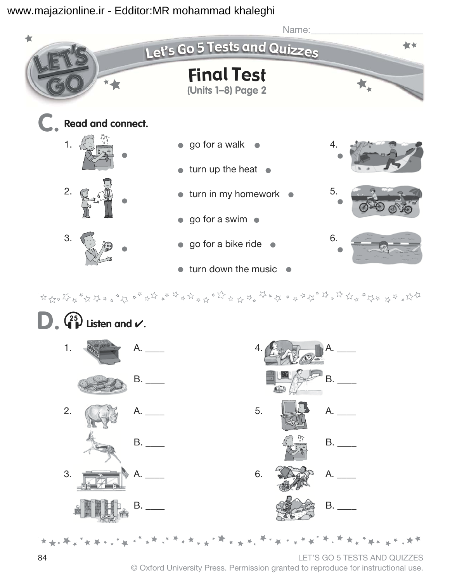

 $\frac{1}{2} \left( \frac{1}{2} \frac{1}{2} \frac{1}{2} \frac{1}{2} \frac{1}{2} \frac{1}{2} \frac{1}{2} \frac{1}{2} \frac{1}{2} \frac{1}{2} \frac{1}{2} \frac{1}{2} \frac{1}{2} \frac{1}{2} \frac{1}{2} \frac{1}{2} \frac{1}{2} \frac{1}{2} \frac{1}{2} \frac{1}{2} \frac{1}{2} \frac{1}{2} \frac{1}{2} \frac{1}{2} \frac{1}{2} \frac{1}{2} \frac{1}{2} \frac{1}{2} \frac{1}{2} \frac{1}{2}$ 



84 LET'S GO 5 TESTS AND QUIZZES © Oxford University Press. Permission granted to reproduce for instructional use.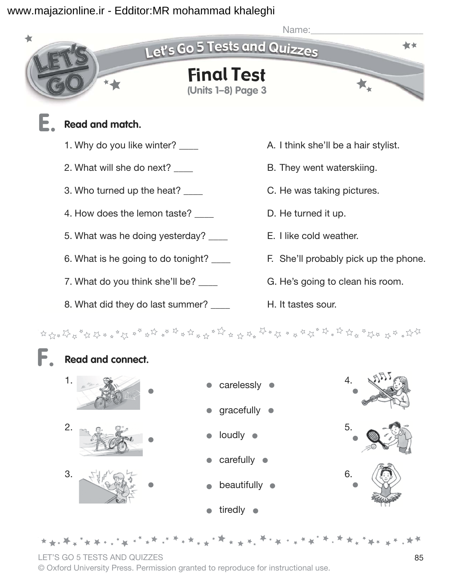![](_page_2_Picture_1.jpeg)

8. What did they do last summer? \_\_\_\_ H. It tastes sour.

![](_page_2_Figure_4.jpeg)

LET'S GO 5 TESTS AND QUIZZES 85 © Oxford University Press. Permission granted to reproduce for instructional use.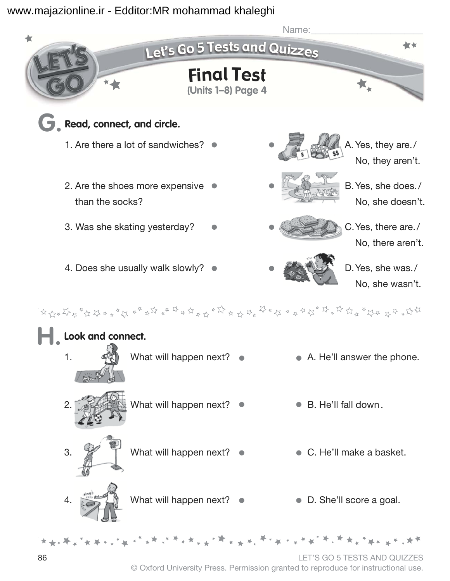![](_page_3_Figure_1.jpeg)

© Oxford University Press. Permission granted to reproduce for instructional use.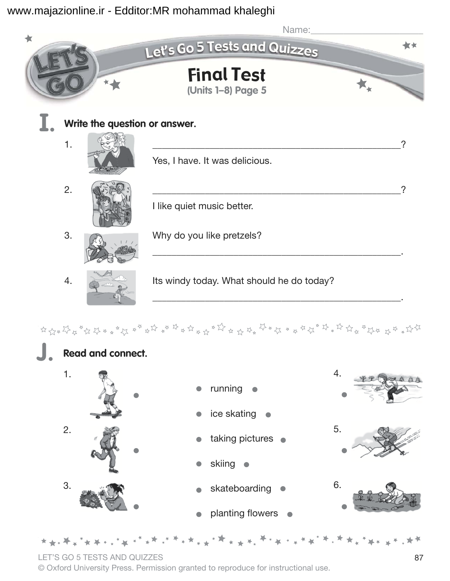![](_page_4_Picture_1.jpeg)

![](_page_4_Figure_3.jpeg)

LET'S GO 5 TESTS AND QUIZZES 87

© Oxford University Press. Permission granted to reproduce for instructional use.